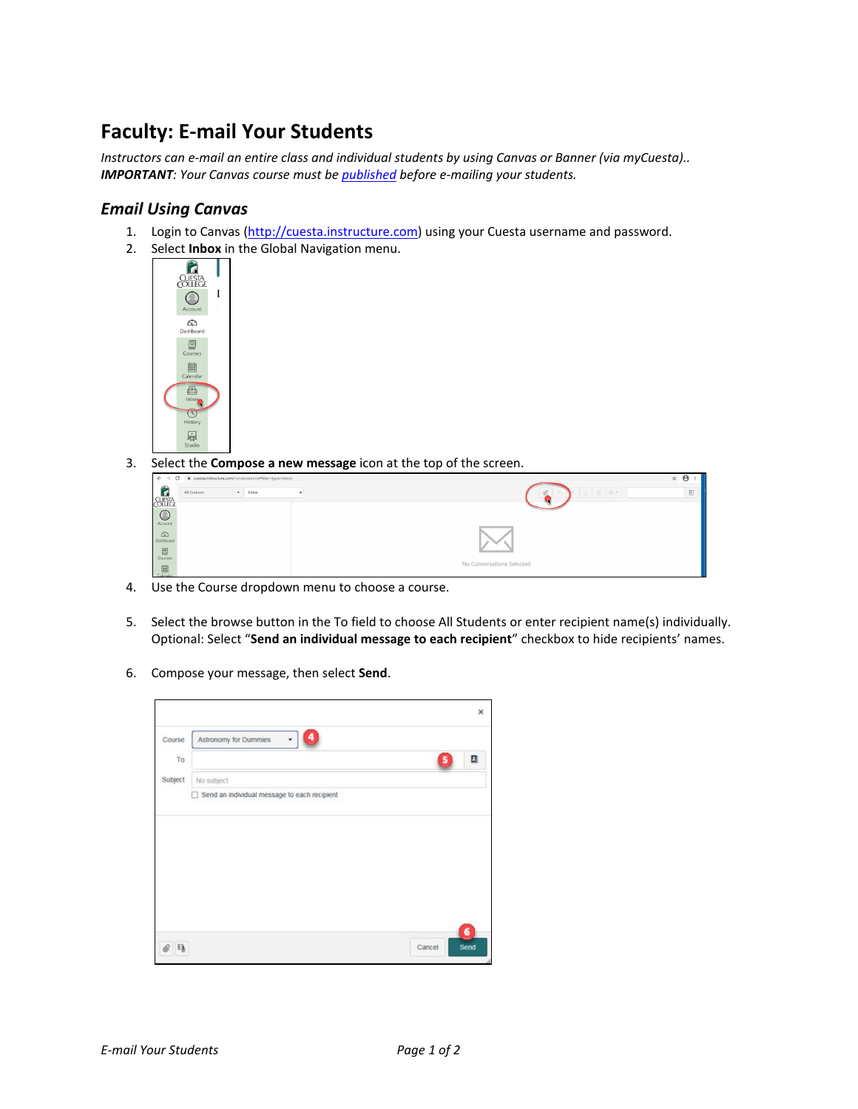## **Faculty: E-mail Your Students**

*Instructors can e-mail an entire class and individual students by using Canvas or Banner (via myCuesta).. IMPORTANT: Your Canvas course must be [published](https://guides.instructure.com/m/4152/l/57126-how-do-i-publish-a-course) before e-mailing your students.*

## *Email Using Canvas*

- 1. Login to Canvas [\(http://cuesta.instructure.com\)](http://cuesta.instructure.com/) using your Cuesta username and password.
- 2. Select **Inbox** in the Global Navigation menu.



3. Select the **Compose a new message** icon at the top of the screen.

| B cuestainstructure.com/conversations#filter=type=inbox<br>$\circ$<br>$\leftarrow$ $\rightarrow$ | $\hat{B}$ $\hat{B}$            |
|--------------------------------------------------------------------------------------------------|--------------------------------|
| G<br>Inbox<br>All Courses<br>$\sqrt{2}$<br>$\cdot$                                               | $\overline{a}$<br>上 面 @ *<br>× |
| <b>CUESTA</b>                                                                                    |                                |
|                                                                                                  |                                |
| Account                                                                                          |                                |
| ෬                                                                                                |                                |
| Dashboard                                                                                        |                                |
| $\boxed{\Xi}$                                                                                    |                                |
| Courses                                                                                          | No Conversations Selected      |
| $\begin{array}{c}\n\begin{array}{c}\n\hline\n\text{lim}\n\\ \hline\n\end{array}\n\end{array}$    |                                |

- 4. Use the Course dropdown menu to choose a course.
- 5. Select the browse button in the To field to choose All Students or enter recipient name(s) individually. Optional: Select "**Send an individual message to each recipient**" checkbox to hide recipients' names.
- 6. Compose your message, then select **Send**.

|         |                       | ×                   |
|---------|-----------------------|---------------------|
| Course  | Astronomy for Dummies |                     |
| To      |                       | ⊡                   |
| Subject | No subject            |                     |
|         |                       |                     |
| a       |                       | 6<br>Send<br>Cancel |